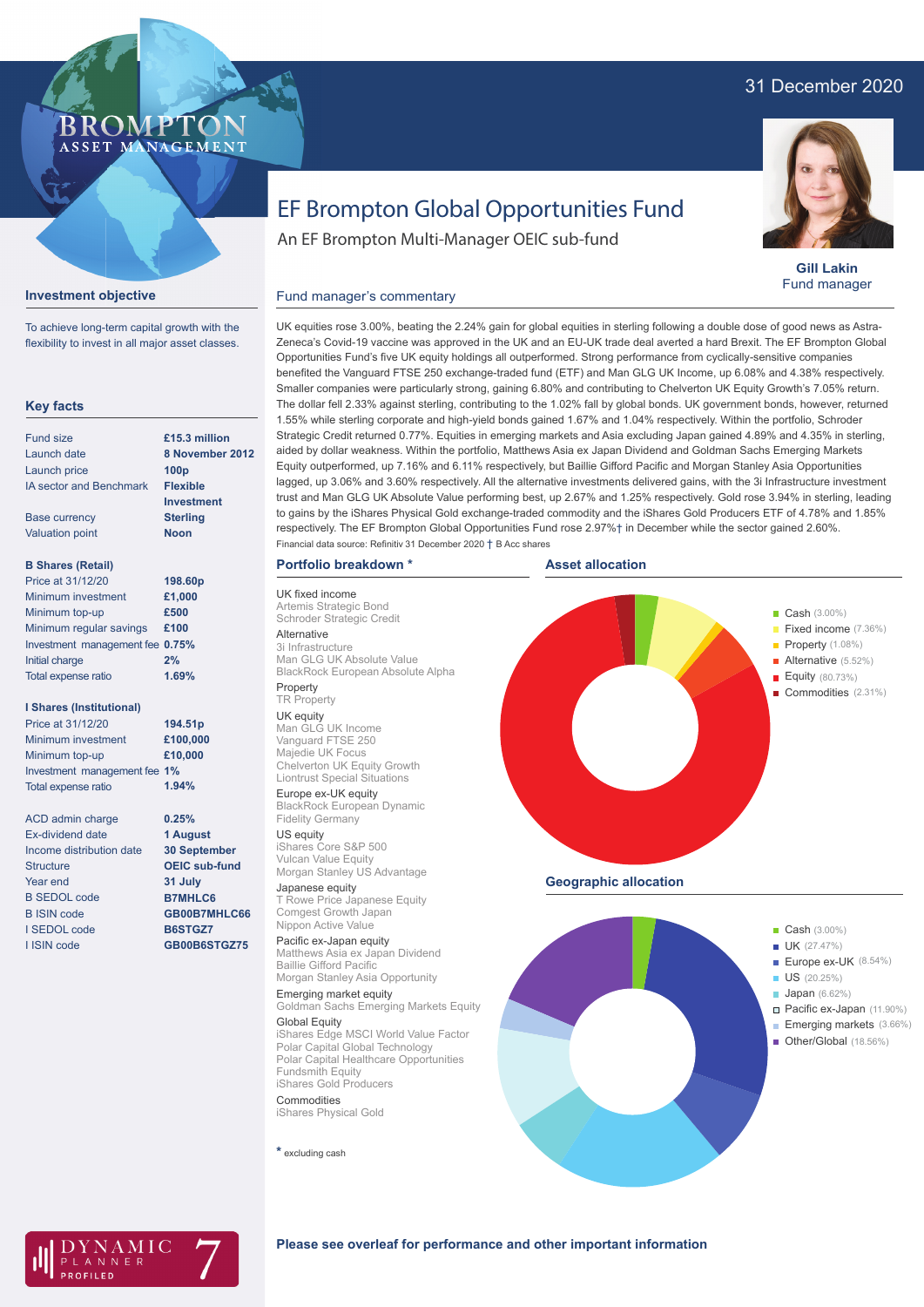## 31 December 2020



**Gill Lakin** Fund manager

# EF Brompton Global Opportunities Fund

### **Investment objective**

**BROMP** 

ASSET MANAGEMENT

To achieve long-term capital growth with the flexibility to invest in all major asset classes.

#### **Key facts**

| Fund size                      | £15.3 million     |
|--------------------------------|-------------------|
| Launch date                    | 8 November 2012   |
| Launch price                   | 100 <sub>p</sub>  |
| <b>IA sector and Benchmark</b> | <b>Flexible</b>   |
|                                | <b>Investment</b> |
| <b>Base currency</b>           | <b>Sterling</b>   |
| <b>Valuation point</b>         | <b>Noon</b>       |
| <b>B Shares (Retail)</b>       |                   |
| Price at 31/12/20              | 198.60p           |
| Minimum investment             | £1.000            |
| Minimum top-up                 | £500              |
| Minimum regular savings        | £100              |
|                                |                   |

| Minimum regular savings         | £100  |
|---------------------------------|-------|
| Investment management fee 0.75% |       |
| Initial charge                  | 2%    |
| Total expense ratio             | 1.69% |
|                                 |       |

#### **I Shares (Institutional)**

Minimum investment Minimum top-up Investment management fee **1%** Total expense ratio **£100,000 £10,000 194.51p** Price at 31/12/20 **1.94%**

```
ACD admin charge
Ex-dividend date
Income distribution date
Structure
Year end
B SEDOL code
B ISIN code
I SEDOL code
I ISIN code
                        0.25%
                        1 August
                        30 September
                        OEIC sub-fund
                        31 July
                        B7MHLC6
                        GB00B7MHLC66
                        B6STGZ7
                        GB00B6STGZ75
```
An EF Brompton Multi-Manager OEIC sub-fund

#### Fund manager's commentary

UK equities rose 3.00%, beating the 2.24% gain for global equities in sterling following a double dose of good news as Astra-Zeneca's Covid-19 vaccine was approved in the UK and an EU-UK trade deal averted a hard Brexit. The EF Brompton Global Opportunities Fund's five UK equity holdings all outperformed. Strong performance from cyclically-sensitive companies benefited the Vanguard FTSE 250 exchange-traded fund (ETF) and Man GLG UK Income, up 6.08% and 4.38% respectively. Smaller companies were particularly strong, gaining 6.80% and contributing to Chelverton UK Equity Growth's 7.05% return. The dollar fell 2.33% against sterling, contributing to the 1.02% fall by global bonds. UK government bonds, however, returned 1.55% while sterling corporate and high-yield bonds gained 1.67% and 1.04% respectively. Within the portfolio, Schroder Strategic Credit returned 0.77%. Equities in emerging markets and Asia excluding Japan gained 4.89% and 4.35% in sterling, aided by dollar weakness. Within the portfolio, Matthews Asia ex Japan Dividend and Goldman Sachs Emerging Markets Equity outperformed, up 7.16% and 6.11% respectively, but Baillie Gifford Pacific and Morgan Stanley Asia Opportunities lagged, up 3.06% and 3.60% respectively. All the alternative investments delivered gains, with the 3i Infrastructure investment trust and Man GLG UK Absolute Value performing best, up 2.67% and 1.25% respectively. Gold rose 3.94% in sterling, leading to gains by the iShares Physical Gold exchange-traded commodity and the iShares Gold Producers ETF of 4.78% and 1.85% respectively. The EF Brompton Global Opportunities Fund rose 2.97%† in December while the sector gained 2.60%. Financial data source: Refinitiv 31 December 2020 † B Acc shares

#### **Portfolio breakdown \***

UK fixed income Artemis Strategic Bond Schroder Strategic Credit Alternative 3i Infrastructure Man GLG UK Absolute Value BlackRock European Absolute Alpha Property

#### TR Property

UK equity Man GLG UK Income Vanguard FTSE 250 Majedie UK Focus Chelverton UK Equity Growth Liontrust Special Situations Europe ex-UK equity

BlackRock European Dynamic Fidelity Germany

US equity iShares Core S&P 500 Vulcan Value Equity Morgan Stanley US Advantage

## Japanese equity T Rowe Price Japanese Equity Comgest Growth Japan

Nippon Active Value Pacific ex-Japan equity

Matthews Asia ex Japan Dividend Baillie Gifford Pacific Morgan Stanley Asia Opportunity Emerging market equity

Goldman Sachs Emerging Markets Equity Global Equity

iShares Edge MSCI World Value Factor Polar Capital Global Technology Polar Capital Healthcare Opportunities Fundsmith Equity iShares Gold Producers Commodities

iShares Physical Gold

**\*** excluding cash







#### **Please see overleaf for performance and other important information**